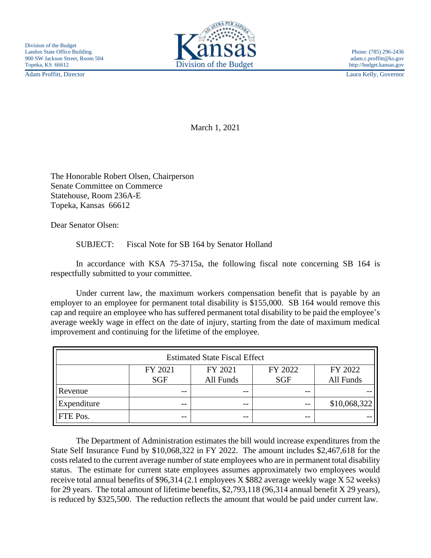Adam Proffitt, Director Laura Kelly, Governor



March 1, 2021

The Honorable Robert Olsen, Chairperson Senate Committee on Commerce Statehouse, Room 236A-E Topeka, Kansas 66612

Dear Senator Olsen:

SUBJECT: Fiscal Note for SB 164 by Senator Holland

In accordance with KSA 75-3715a, the following fiscal note concerning SB 164 is respectfully submitted to your committee.

Under current law, the maximum workers compensation benefit that is payable by an employer to an employee for permanent total disability is \$155,000. SB 164 would remove this cap and require an employee who has suffered permanent total disability to be paid the employee's average weekly wage in effect on the date of injury, starting from the date of maximum medical improvement and continuing for the lifetime of the employee.

| <b>Estimated State Fiscal Effect</b> |            |           |            |              |
|--------------------------------------|------------|-----------|------------|--------------|
|                                      | FY 2021    | FY 2021   | FY 2022    | FY 2022      |
|                                      | <b>SGF</b> | All Funds | <b>SGF</b> | All Funds    |
| Revenue                              | $- -$      | $- -$     | $- -$      |              |
| Expenditure                          | $- -$      | $ -$      | $ -$       | \$10,068,322 |
| FTE Pos.                             | --         | $ -$      | --         |              |

The Department of Administration estimates the bill would increase expenditures from the State Self Insurance Fund by \$10,068,322 in FY 2022. The amount includes \$2,467,618 for the costs related to the current average number of state employees who are in permanent total disability status. The estimate for current state employees assumes approximately two employees would receive total annual benefits of \$96,314 (2.1 employees X \$882 average weekly wage X 52 weeks) for 29 years. The total amount of lifetime benefits, \$2,793,118 (96,314 annual benefit X 29 years), is reduced by \$325,500. The reduction reflects the amount that would be paid under current law.